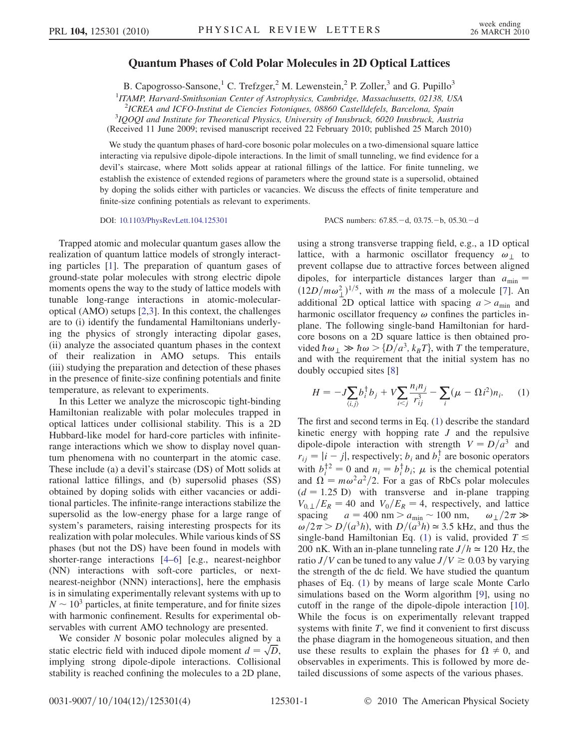## Quantum Phases of Cold Polar Molecules in 2D Optical Lattices

B. Capogrosso-Sansone,<sup>1</sup> C. Trefzger,<sup>2</sup> M. Lewenstein,<sup>2</sup> P. Zoller,<sup>3</sup> and G. Pupillo<sup>3</sup>

<sup>1</sup> ITAMP, Harvard-Smithsonian Center of Astrophysics, Cambridge, Massachusetts, 02138, USA

<sup>2</sup>ICREA and ICFO-Institut de Ciencies Fotoniques, 08860 Castelldefels, Barcelona, Spain<br><sup>3</sup>IOOOL and Institute for Theoratical Physics, University of Innshruck 6020 Innshruck Aust

<sup>3</sup>IQOQI and Institute for Theoretical Physics, University of Innsbruck, 6020 Innsbruck, Austria (Received 11 June 2009; revised manuscript received 22 February 2010; published 25 March 2010)

We study the quantum phases of hard-core bosonic polar molecules on a two-dimensional square lattice interacting via repulsive dipole-dipole interactions. In the limit of small tunneling, we find evidence for a devil's staircase, where Mott solids appear at rational fillings of the lattice. For finite tunneling, we establish the existence of extended regions of parameters where the ground state is a supersolid, obtained by doping the solids either with particles or vacancies. We discuss the effects of finite temperature and finite-size confining potentials as relevant to experiments.

DOI: [10.1103/PhysRevLett.104.125301](http://dx.doi.org/10.1103/PhysRevLett.104.125301) PACS numbers: 67.85. - d, 03.75. - b, 05.30. - d

Trapped atomic and molecular quantum gases allow the realization of quantum lattice models of strongly interacting particles [[1\]](#page-3-0). The preparation of quantum gases of ground-state polar molecules with strong electric dipole moments opens the way to the study of lattice models with tunable long-range interactions in atomic-molecularoptical (AMO) setups [[2,](#page-3-1)[3\]](#page-3-2). In this context, the challenges are to (i) identify the fundamental Hamiltonians underlying the physics of strongly interacting dipolar gases, (ii) analyze the associated quantum phases in the context of their realization in AMO setups. This entails (iii) studying the preparation and detection of these phases in the presence of finite-size confining potentials and finite temperature, as relevant to experiments.

In this Letter we analyze the microscopic tight-binding Hamiltonian realizable with polar molecules trapped in optical lattices under collisional stability. This is a 2D Hubbard-like model for hard-core particles with infiniterange interactions which we show to display novel quantum phenomena with no counterpart in the atomic case. These include (a) a devil's staircase (DS) of Mott solids at rational lattice fillings, and (b) supersolid phases (SS) obtained by doping solids with either vacancies or additional particles. The infinite-range interactions stabilize the supersolid as the low-energy phase for a large range of system's parameters, raising interesting prospects for its realization with polar molecules. While various kinds of SS phases (but not the DS) have been found in models with shorter-range interactions [\[4](#page-3-3)–[6\]](#page-3-4) [e.g., nearest-neighbor (NN) interactions with soft-core particles, or nextnearest-neighbor (NNN) interactions], here the emphasis is in simulating experimentally relevant systems with up to  $N \sim 10^3$  particles, at finite temperature, and for finite sizes<br>with harmonic confinement. Results for experimental obwith harmonic confinement. Results for experimental observables with current AMO technology are presented.

We consider  $N$  bosonic polar molecules aligned by a static electric field with induced dipole moment  $d = \sqrt{D}$ ,<br>implying strong dipole-dipole interactions. Collisional implying strong dipole-dipole interactions. Collisional stability is reached confining the molecules to a 2D plane, using a strong transverse trapping field, e.g., a 1D optical lattice, with a harmonic oscillator frequency  $\omega_{\perp}$  to prevent collapse due to attractive forces between aligned dipoles, for interparticle distances larger than  $a_{\text{min}} =$  $(12D/m\omega_{\perp}^2)^{1/5}$ , with *m* the mass of a molecule [[7](#page-3-5)]. An additional 2D optical lattice with spacing  $a > a_{\perp}$  and additional 2D optical lattice with spacing  $a > a_{\min}$  and harmonic oscillator frequency  $\omega$  confines the particles inplane. The following single-band Hamiltonian for hardcore bosons on a 2D square lattice is then obtained provided  $\hbar \omega_{\perp} \gg \hbar \omega > \{D/a^3, k_B T\}$ , with T the temperature, and with the requirement that the initial system has no doubly occupied sites [\[8](#page-3-6)]

<span id="page-0-0"></span>
$$
H = -J \sum_{\langle i,j \rangle} b_i^{\dagger} b_j + V \sum_{i < j} \frac{n_i n_j}{r_{ij}^3} - \sum_i (\mu - \Omega i^2) n_i. \tag{1}
$$

The first and second terms in Eq. ([1](#page-0-0)) describe the standard kinetic energy with hopping rate J and the repulsive dipole-dipole interaction with strength  $V = D/a^3$  and  $r_{ij} = |i - j|$ , respectively;  $b_i$  and  $b_i^{\dagger}$  are bosonic operators with  $b_i^{\dagger 2} = 0$  and  $n_i = b_i^{\dagger} b_i$ ;  $\mu$  is the chemical potential<br>and  $\Omega = m\omega^2 a^2/2$  For a gas of RbCs polar molecules and  $\Omega = m\omega^2 a^2/2$ . For a gas of RbCs polar molecules  $(d = 1.25 \text{ D})$  with transverse and in-plane trapping  $V_{0, \perp}/E_R = 40$  and  $V_0/E_R = 4$ , respectively, and lattice spacing  $a = 400 \text{ nm} > a_{\text{min}} \sim 100 \text{ nm}, \qquad \omega_{\perp}/2\pi$ <br> $\omega/2\pi > D/(\omega^3 h)$  with  $D/(\omega^3 h) \approx 3.5 \text{ kHz}$  and thus  $\omega/2\pi > D/(a^3h)$ , with  $D/(a^3h) \approx 3.5$  kHz, and thus the<br>single-band Hamiltonian Eq. (1) is valid provided  $T \leq$ single-band Hamiltonian Eq. ([1\)](#page-0-0) is valid, provided  $T \leq$ 200 nK. With an in-plane tunneling rate  $J/h \approx 120$  Hz, the ratio  $J/V$  can be tuned to any value  $J/V \ge 0.03$  by varying the strength of the dc field. We have studied the quantum phases of Eq. [\(1\)](#page-0-0) by means of large scale Monte Carlo simulations based on the Worm algorithm [[9](#page-3-7)], using no cutoff in the range of the dipole-dipole interaction [[10\]](#page-3-8). While the focus is on experimentally relevant trapped systems with finite  $T$ , we find it convenient to first discuss the phase diagram in the homogeneous situation, and then use these results to explain the phases for  $\Omega \neq 0$ , and observables in experiments. This is followed by more detailed discussions of some aspects of the various phases.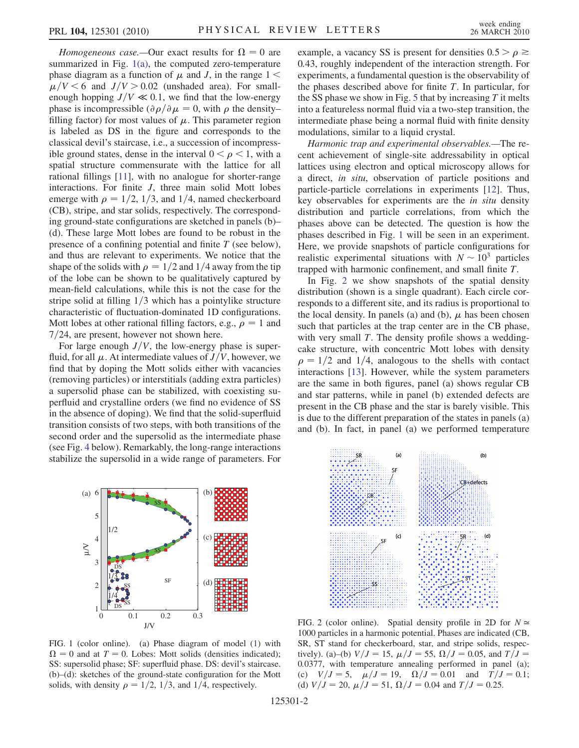Homogeneous case.—Our exact results for  $\Omega = 0$  are summarized in Fig. [1\(a\),](#page-1-0) the computed zero-temperature phase diagram as a function of  $\mu$  and J, in the range 1 <  $\mu$ /V < 6 and J/V > 0.02 (unshaded area). For smallenough hopping  $J/V \ll 0.1$ , we find that the low-energy phase is incompressible  $\left(\partial \rho / \partial \mu\right) = 0$ , with  $\rho$  the density– filling factor) for most values of  $\mu$ . This parameter region is labeled as DS in the figure and corresponds to the classical devil's staircase, i.e., a succession of incompressible ground states, dense in the interval  $0 < \rho < 1$ , with a spatial structure commensurate with the lattice for all rational fillings [[11](#page-3-9)], with no analogue for shorter-range interactions. For finite J, three main solid Mott lobes emerge with  $\rho = 1/2$ , 1/3, and 1/4, named checkerboard (CB), stripe, and star solids, respectively. The corresponding ground-state configurations are sketched in panels (b)– (d). These large Mott lobes are found to be robust in the presence of a confining potential and finite  $T$  (see below), and thus are relevant to experiments. We notice that the shape of the solids with  $\rho = 1/2$  and 1/4 away from the tip of the lobe can be shown to be qualitatively captured by mean-field calculations, while this is not the case for the stripe solid at filling  $1/3$  which has a pointylike structure characteristic of fluctuation-dominated 1D configurations. Mott lobes at other rational filling factors, e.g.,  $\rho = 1$  and  $7/24$ , are present, however not shown here.

For large enough  $J/V$ , the low-energy phase is superfluid, for all  $\mu$ . At intermediate values of  $J/V$ , however, we find that by doping the Mott solids either with vacancies (removing particles) or interstitials (adding extra particles) a supersolid phase can be stabilized, with coexisting superfluid and crystalline orders (we find no evidence of SS in the absence of doping). We find that the solid-superfluid transition consists of two steps, with both transitions of the second order and the supersolid as the intermediate phase (see Fig. [4](#page-3-10) below). Remarkably, the long-range interactions stabilize the supersolid in a wide range of parameters. For example, a vacancy SS is present for densities  $0.5 > \rho \ge$ 0:43, roughly independent of the interaction strength. For experiments, a fundamental question is the observability of the phases described above for finite  $T$ . In particular, for the SS phase we show in Fig. [5](#page-3-11) that by increasing  $T$  it melts into a featureless normal fluid via a two-step transition, the intermediate phase being a normal fluid with finite density modulations, similar to a liquid crystal.

Harmonic trap and experimental observables.—The recent achievement of single-site addressability in optical lattices using electron and optical microscopy allows for a direct, in situ, observation of particle positions and particle-particle correlations in experiments [[12](#page-3-12)]. Thus, key observables for experiments are the in situ density distribution and particle correlations, from which the phases above can be detected. The question is how the phases described in Fig. [1](#page-1-1) will be seen in an experiment. Here, we provide snapshots of particle configurations for realistic experimental situations with  $N \sim 10^3$  particles tranned with harmonic confinement and small finite T trapped with harmonic confinement, and small finite T.

In Fig. [2](#page-1-2) we show snapshots of the spatial density distribution (shown is a single quadrant). Each circle corresponds to a different site, and its radius is proportional to the local density. In panels (a) and (b),  $\mu$  has been chosen such that particles at the trap center are in the CB phase, with very small  $T$ . The density profile shows a weddingcake structure, with concentric Mott lobes with density  $\rho = 1/2$  and 1/4, analogous to the shells with contact interactions [[13\]](#page-3-13). However, while the system parameters are the same in both figures, panel (a) shows regular CB and star patterns, while in panel (b) extended defects are present in the CB phase and the star is barely visible. This is due to the different preparation of the states in panels (a) and (b). In fact, in panel (a) we performed temperature

<span id="page-1-1"></span>

<span id="page-1-0"></span>FIG. 1 (color online). (a) Phase diagram of model ([1\)](#page-0-0) with  $\Omega = 0$  and at  $T = 0$ . Lobes: Mott solids (densities indicated); SS: supersolid phase; SF: superfluid phase. DS: devil's staircase. (b)–(d): sketches of the ground-state configuration for the Mott solids, with density  $\rho = 1/2$ , 1/3, and 1/4, respectively.

<span id="page-1-2"></span>

FIG. 2 (color online). Spatial density profile in 2D for  $N \approx$ 1000 particles in a harmonic potential. Phases are indicated (CB, SR, ST stand for checkerboard, star, and stripe solids, respectively). (a)–(b)  $V/J = 15$ ,  $\mu/J = 55$ ,  $\Omega/J = 0.05$ , and  $T/J =$ 0:0377, with temperature annealing performed in panel (a); (c)  $V/J = 5$ ,  $\mu/J = 19$ ,  $\Omega/J = 0.01$  and  $T/J = 0.1$ ; (d)  $V/J=20$ ,  $\mu/J=51$ ,  $\Omega/J=0.04$  and  $T/J=0.25$ .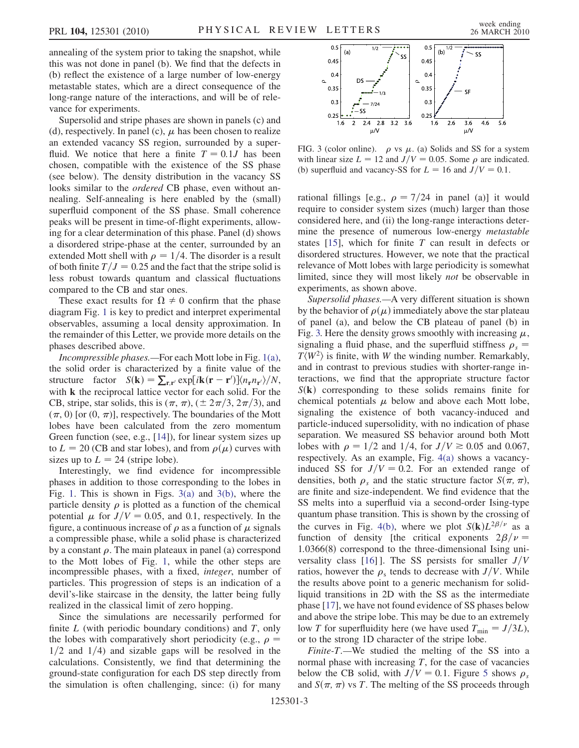annealing of the system prior to taking the snapshot, while this was not done in panel (b). We find that the defects in (b) reflect the existence of a large number of low-energy metastable states, which are a direct consequence of the long-range nature of the interactions, and will be of relevance for experiments.

Supersolid and stripe phases are shown in panels (c) and (d), respectively. In panel (c),  $\mu$  has been chosen to realize an extended vacancy SS region, surrounded by a superfluid. We notice that here a finite  $T = 0.1J$  has been chosen, compatible with the existence of the SS phase (see below). The density distribution in the vacancy SS looks similar to the *ordered* CB phase, even without annealing. Self-annealing is here enabled by the (small) superfluid component of the SS phase. Small coherence peaks will be present in time-of-flight experiments, allowing for a clear determination of this phase. Panel (d) shows a disordered stripe-phase at the center, surrounded by an extended Mott shell with  $\rho = 1/4$ . The disorder is a result of both finite  $T/J = 0.25$  and the fact that the stripe solid is less robust towards quantum and classical fluctuations compared to the CB and star ones.

These exact results for  $\Omega \neq 0$  confirm that the phase diagram Fig. [1](#page-1-1) is key to predict and interpret experimental observables, assuming a local density approximation. In the remainder of this Letter, we provide more details on the phases described above.

Incompressible phases.—For each Mott lobe in Fig. [1\(a\)](#page-1-0), the solid order is characterized by a finite value of the structure factor  $S(\mathbf{k}) = \sum_{\mathbf{r}, \mathbf{r}'} \exp[i\mathbf{k}(\mathbf{r} - \mathbf{r}')] \langle n_{\mathbf{r}} n_{\mathbf{r}'} \rangle/N$ , with **k** the reciprocal lattice vector for each solid. For the CB, stripe, star solids, this is  $(\pi, \pi)$ ,  $(\pm 2\pi/3, 2\pi/3)$ , and  $(\pi, 0)$  for  $(0, \pi)$  respectively. The boundaries of the Mott  $(\pi, 0)$  [or  $(0, \pi)$ ], respectively. The boundaries of the Mott lobes have been calculated from the zero momentum Green function (see, e.g., [[14\]](#page-3-14)), for linear system sizes up to  $L = 20$  (CB and star lobes), and from  $\rho(\mu)$  curves with sizes up to  $L = 24$  (stripe lobe).

Interestingly, we find evidence for incompressible phases in addition to those corresponding to the lobes in Fig. [1](#page-1-1). This is shown in Figs. [3\(a\)](#page-2-0) and [3\(b\)](#page-2-0), where the particle density  $\rho$  is plotted as a function of the chemical potential  $\mu$  for  $J/V = 0.05$ , and 0.1, respectively. In the figure, a continuous increase of  $\rho$  as a function of  $\mu$  signals a compressible phase, while a solid phase is characterized by a constant  $\rho$ . The main plateaux in panel (a) correspond to the Mott lobes of Fig. [1](#page-1-1), while the other steps are incompressible phases, with a fixed, integer, number of particles. This progression of steps is an indication of a devil's-like staircase in the density, the latter being fully realized in the classical limit of zero hopping.

Since the simulations are necessarily performed for finite  $L$  (with periodic boundary conditions) and  $T$ , only the lobes with comparatively short periodicity (e.g.,  $\rho =$  $1/2$  and  $1/4$ ) and sizable gaps will be resolved in the calculations. Consistently, we find that determining the ground-state configuration for each DS step directly from the simulation is often challenging, since: (i) for many

<span id="page-2-1"></span>

<span id="page-2-0"></span>FIG. 3 (color online).  $\rho$  vs  $\mu$ . (a) Solids and SS for a system with linear size  $L = 12$  and  $J/V = 0.05$ . Some  $\rho$  are indicated. (b) superfluid and vacancy-SS for  $L = 16$  and  $J/V = 0.1$ .

rational fillings [e.g.,  $\rho = \frac{7}{24}$  in panel (a)] it would require to consider system sizes (much) larger than those considered here, and (ii) the long-range interactions determine the presence of numerous low-energy *metastable* states  $[15]$  $[15]$  $[15]$ , which for finite T can result in defects or disordered structures. However, we note that the practical relevance of Mott lobes with large periodicity is somewhat limited, since they will most likely not be observable in experiments, as shown above.

Supersolid phases.—A very different situation is shown by the behavior of  $\rho(\mu)$  immediately above the star plateau of panel (a), and below the CB plateau of panel (b) in Fig. [3.](#page-2-1) Here the density grows smoothly with increasing  $\mu$ , signaling a fluid phase, and the superfluid stiffness  $\rho_s$  =  $T\langle W^2 \rangle$  is finite, with W the winding number. Remarkably, and in contrast to previous studies with shorter-range interactions, we find that the appropriate structure factor  $S(\mathbf{k})$  corresponding to these solids remains finite for chemical potentials  $\mu$  below and above each Mott lobe, signaling the existence of both vacancy-induced and particle-induced supersolidity, with no indication of phase separation. We measured SS behavior around both Mott lobes with  $\rho = 1/2$  and 1/4, for  $J/V \ge 0.05$  and 0.067, respectively. As an example, Fig. [4\(a\)](#page-3-16) shows a vacancyinduced SS for  $J/V = 0.2$ . For an extended range of densities, both  $\rho_s$  and the static structure factor  $S(\pi, \pi)$ ,<br>are finite and size-independent. We find evidence that the are finite and size-independent. We find evidence that the SS melts into a superfluid via a second-order Ising-type quantum phase transition. This is shown by the crossing of the curves in Fig. [4\(b\),](#page-3-16) where we plot  $S(\mathbf{k})L^{2\beta/\nu}$  as a function of density [the critical exponents  $2\beta/\nu =$  $1.0366(8)$  correspond to the three-dimensional Ising uni-versality class [[16](#page-3-17)]. The SS persists for smaller  $J/V$ ratios, however the  $\rho_s$  tends to decrease with  $J/V$ . While the results above point to a generic mechanism for solidliquid transitions in 2D with the SS as the intermediate phase [\[17\]](#page-3-18), we have not found evidence of SS phases below and above the stripe lobe. This may be due to an extremely low T for superfluidity here (we have used  $T_{\text{min}} = J/3L$ ), or to the strong 1D character of the stripe lobe.

Finite-T.—We studied the melting of the SS into a normal phase with increasing  $T$ , for the case of vacancies below the CB solid, with  $J/V = 0.1$ . Figure [5](#page-3-11) shows  $\rho_s$ and  $S(\pi, \pi)$  vs T. The melting of the SS proceeds through